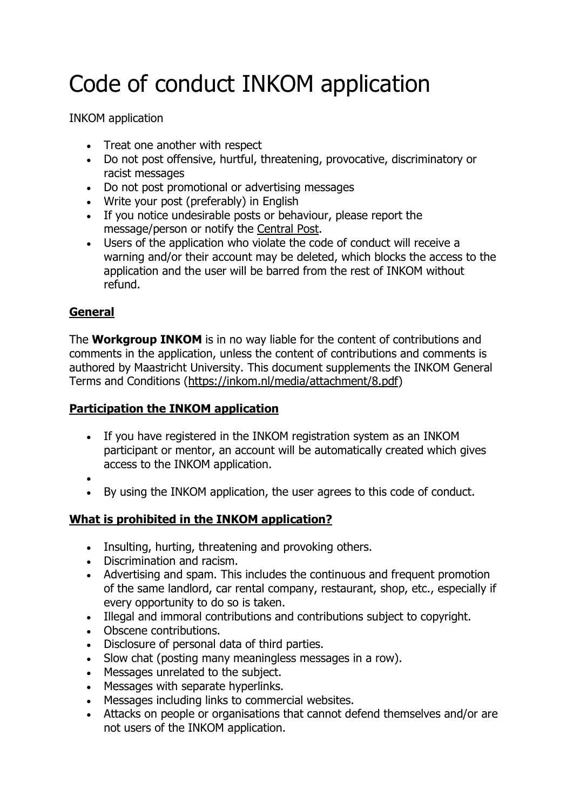# Code of conduct INKOM application

INKOM application

- Treat one another with respect
- Do not post offensive, hurtful, threatening, provocative, discriminatory or racist messages
- Do not post promotional or advertising messages
- Write your post (preferably) in English
- If you notice undesirable posts or behaviour, please report the message/person or notify the [Central Post.](https://enter.inkom.nl/contact/)
- Users of the application who violate the code of conduct will receive a warning and/or their account may be deleted, which blocks the access to the application and the user will be barred from the rest of INKOM without refund.

## **General**

The **Workgroup INKOM** is in no way liable for the content of contributions and comments in the application, unless the content of contributions and comments is authored by Maastricht University. This document supplements the INKOM General Terms and Conditions [\(https://inkom.nl/media/attachment/8.pdf\)](https://inkom.nl/media/attachment/8.pdf)

#### **Participation the INKOM application**

- If you have registered in the INKOM registration system as an INKOM participant or mentor, an account will be automatically created which gives access to the INKOM application.
- $\bullet$
- By using the INKOM application, the user agrees to this code of conduct.

## **What is prohibited in the INKOM application?**

- Insulting, hurting, threatening and provoking others.
- Discrimination and racism.
- Advertising and spam. This includes the continuous and frequent promotion of the same landlord, car rental company, restaurant, shop, etc., especially if every opportunity to do so is taken.
- Illegal and immoral contributions and contributions subject to copyright.
- Obscene contributions.
- Disclosure of personal data of third parties.
- Slow chat (posting many meaningless messages in a row).
- Messages unrelated to the subject.
- Messages with separate hyperlinks.
- Messages including links to commercial websites.
- Attacks on people or organisations that cannot defend themselves and/or are not users of the INKOM application.